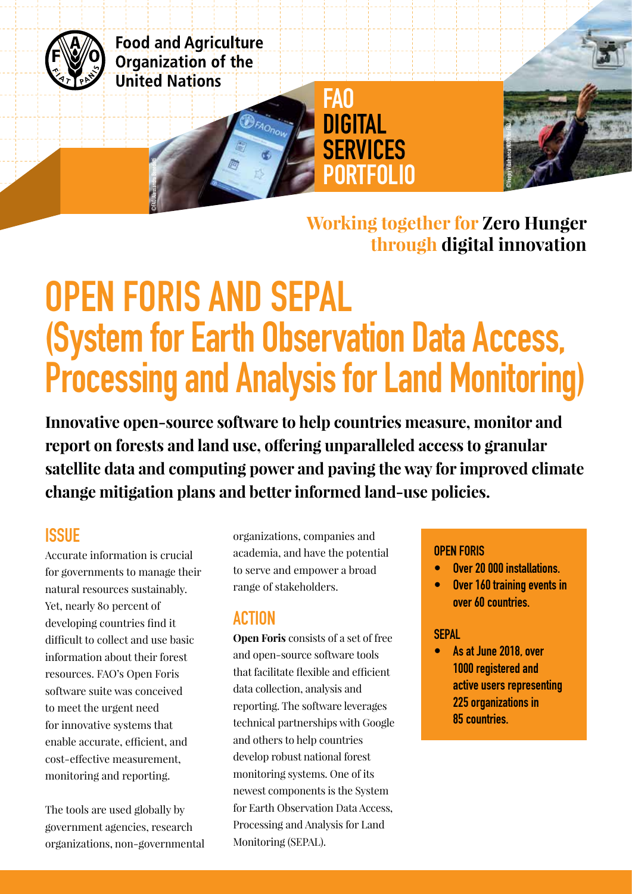

**Food and Agriculture** Organization of the **United Nations** 

©FAO/Alessandra Benedetti

**Working together for Zero Hunger through digital innovation** 

# OPEN FORIS AND SEPAL (System for Earth Observation Data Access, Processing and Analysis for Land Monitoring)

FAO

DIGITAL

**SERVICES** 

PORTFOLIO

**Innovative open-source software to help countries measure, monitor and report on forests and land use, offering unparalleled access to granular satellite data and computing power and paving the way for improved climate change mitigation plans and better informed land-use policies.**

# **ISSUE**

Accurate information is crucial for governments to manage their natural resources sustainably. Yet, nearly 80 percent of developing countries find it difficult to collect and use basic information about their forest resources. FAO's Open Foris software suite was conceived to meet the urgent need for innovative systems that enable accurate, efficient, and cost-effective measurement, monitoring and reporting.

The tools are used globally by government agencies, research organizations, non-governmental organizations, companies and academia, and have the potential to serve and empower a broad range of stakeholders.

# ACTION

**Open Foris** consists of a set of free and open-source software tools that facilitate flexible and efficient data collection, analysis and reporting. The software leverages technical partnerships with Google and others to help countries develop robust national forest monitoring systems. One of its newest components is the System for Earth Observation Data Access, Processing and Analysis for Land Monitoring (SEPAL).

#### OPEN FORIS

- Over 20 000 installations.
- Over 160 training events in over 60 countries.

#### **SEPAL**

• As at June 2018, over 1000 registered and active users representing 225 organizations in 85 countries.